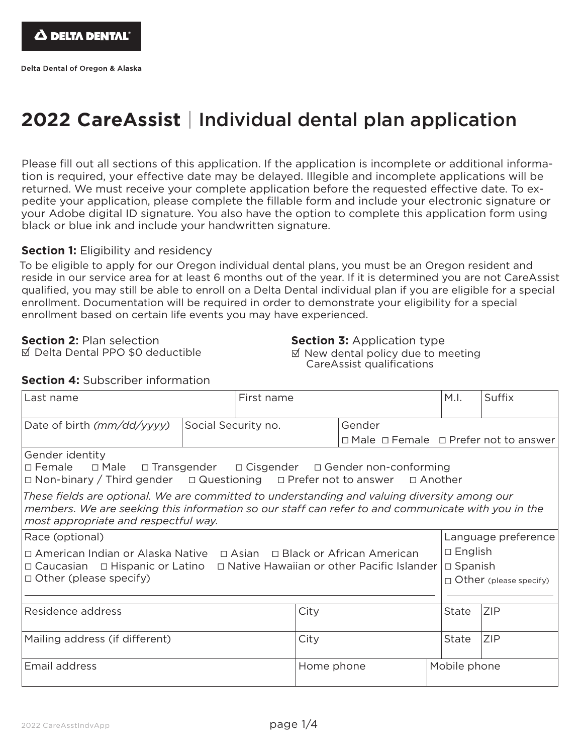## **2022 CareAssist** | Individual dental plan application

Please fill out all sections of this application. If the application is incomplete or additional information is required, your effective date may be delayed. Illegible and incomplete applications will be returned. We must receive your complete application before the requested effective date. To expedite your application, please complete the fillable form and include your electronic signature or your Adobe digital ID signature. You also have the option to complete this application form using black or blue ink and include your handwritten signature.

#### **Section 1:** Eligibility and residency

To be eligible to apply for our Oregon individual dental plans, you must be an Oregon resident and reside in our service area for at least 6 months out of the year. If it is determined you are not CareAssist qualified, you may still be able to enroll on a Delta Dental individual plan if you are eligible for a special enrollment. Documentation will be required in order to demonstrate your eligibility for a special enrollment based on certain life events you may have experienced.

**Section 2**: Plan selection

Х Delta Dental PPO \$0 deductible

**Section 3: Application type**  $\boxtimes$  New dental policy due to meeting CareAssist qualifications

| Last name                                                                                                                                                                                                                                  |  | First name |            | M.I.         | Suffix                                                |                               |  |
|--------------------------------------------------------------------------------------------------------------------------------------------------------------------------------------------------------------------------------------------|--|------------|------------|--------------|-------------------------------------------------------|-------------------------------|--|
| Date of birth (mm/dd/yyyy)<br>Social Security no.                                                                                                                                                                                          |  |            |            | Gender       | $\Box$ Male $\Box$ Female $\Box$ Prefer not to answer |                               |  |
| Gender identity<br>□ Female □ Male □ Transgender □ Cisgender □ Gender non-conforming<br>$\Box$ Non-binary / Third gender $\Box$ Questioning $\Box$ Prefer not to answer $\Box$ Another                                                     |  |            |            |              |                                                       |                               |  |
| These fields are optional. We are committed to understanding and valuing diversity among our<br>members. We are seeking this information so our staff can refer to and communicate with you in the<br>most appropriate and respectful way. |  |            |            |              |                                                       |                               |  |
| Race (optional)                                                                                                                                                                                                                            |  |            |            |              | Language preference                                   |                               |  |
| □ American Indian or Alaska Native □ Asian □ Black or African American<br>□ Caucasian □ Hispanic or Latino □ Native Hawaiian or other Pacific Islander<br>$\Box$ Other (please specify)                                                    |  |            |            |              |                                                       | $\Box$ English                |  |
|                                                                                                                                                                                                                                            |  |            |            |              | $\square$ Spanish                                     |                               |  |
|                                                                                                                                                                                                                                            |  |            |            |              |                                                       | $\Box$ Other (please specify) |  |
|                                                                                                                                                                                                                                            |  |            |            |              |                                                       |                               |  |
| Residence address                                                                                                                                                                                                                          |  |            | City       |              | <b>State</b>                                          | <b>ZIP</b>                    |  |
| Mailing address (if different)                                                                                                                                                                                                             |  |            | City       |              |                                                       | <b>ZIP</b>                    |  |
| Email address                                                                                                                                                                                                                              |  |            | Home phone | Mobile phone |                                                       |                               |  |

**Section 4:** Subscriber information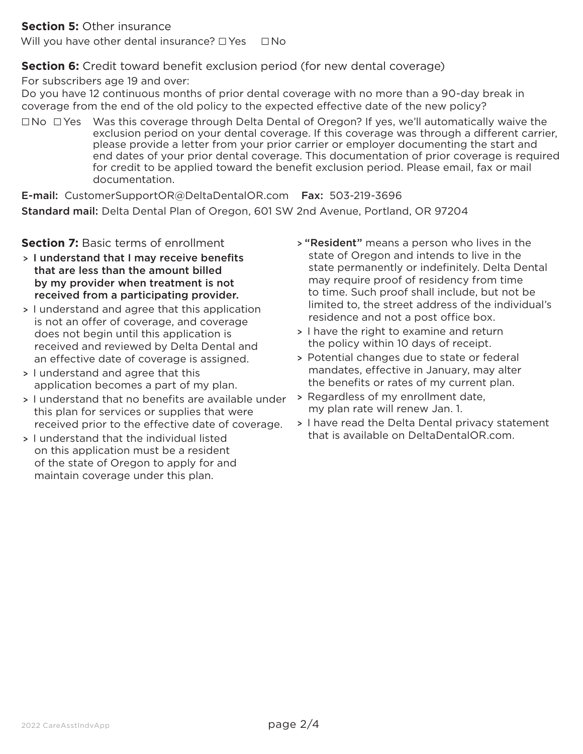#### **Section 5:** Other insurance

Will you have other dental insurance?  $\Box$  Yes  $\Box$  No

#### **Section 6:** Credit toward benefit exclusion period (for new dental coverage)

For subscribers age 19 and over:

Do you have 12 continuous months of prior dental coverage with no more than a 90-day break in coverage from the end of the old policy to the expected effective date of the new policy?

 $\Box$ No  $\Box$  Yes Was this coverage through Delta Dental of Oregon? If yes, we'll automatically waive the exclusion period on your dental coverage. If this coverage was through a different carrier, please provide a letter from your prior carrier or employer documenting the start and end dates of your prior dental coverage. This documentation of prior coverage is required for credit to be applied toward the benefit exclusion period. Please email, fax or mail documentation.

E-mail: CustomerSupportOR@DeltaDentalOR.com Fax: 503-219-3696 Standard mail: Delta Dental Plan of Oregon, 601 SW 2nd Avenue, Portland, OR 97204

#### **Section 7: Basic terms of enrollment**

- > I understand that I may receive benefits that are less than the amount billed by my provider when treatment is not received from a participating provider.
- > I understand and agree that this application is not an offer of coverage, and coverage does not begin until this application is received and reviewed by Delta Dental and an effective date of coverage is assigned.
- > I understand and agree that this application becomes a part of my plan.
- > I understand that no benefits are available under this plan for services or supplies that were received prior to the effective date of coverage.
- > I understand that the individual listed on this application must be a resident of the state of Oregon to apply for and maintain coverage under this plan.
- > "Resident" means a person who lives in the state of Oregon and intends to live in the state permanently or indefinitely. Delta Dental may require proof of residency from time to time. Such proof shall include, but not be limited to, the street address of the individual's residence and not a post office box.
- > I have the right to examine and return the policy within 10 days of receipt.
- > Potential changes due to state or federal mandates, effective in January, may alter the benefits or rates of my current plan.
- > Regardless of my enrollment date, my plan rate will renew Jan. 1.
- > I have read the Delta Dental privacy statement that is available on DeltaDentalOR.com.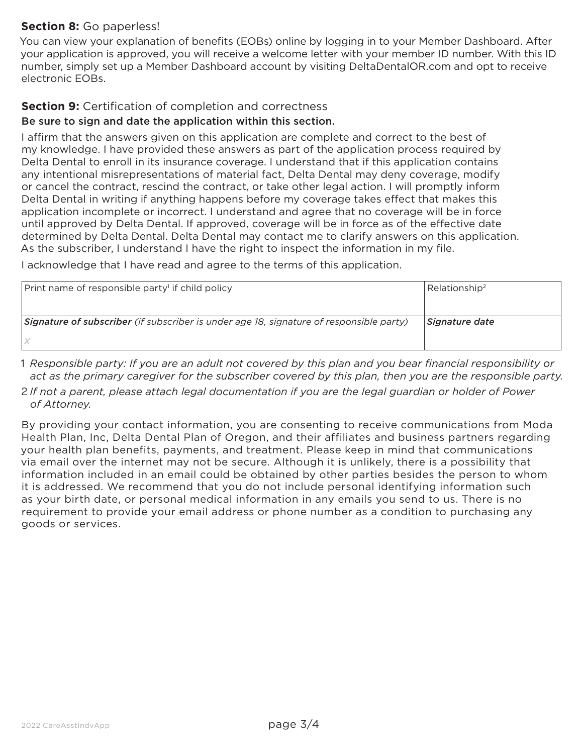### **Section 8:** Go paperless!

You can view your explanation of benefits (EOBs) online by logging in to your Member Dashboard. After your application is approved, you will receive a welcome letter with your member ID number. With this ID number, simply set up a Member Dashboard account by visiting DeltaDentalOR.com and opt to receive electronic EOBs.

## **Section 9:** Certification of completion and correctness

#### Be sure to sign and date the application within this section.

I affirm that the answers given on this application are complete and correct to the best of my knowledge. I have provided these answers as part of the application process required by Delta Dental to enroll in its insurance coverage. I understand that if this application contains any intentional misrepresentations of material fact, Delta Dental may deny coverage, modify or cancel the contract, rescind the contract, or take other legal action. I will promptly inform Delta Dental in writing if anything happens before my coverage takes effect that makes this application incomplete or incorrect. I understand and agree that no coverage will be in force until approved by Delta Dental. If approved, coverage will be in force as of the effective date determined by Delta Dental. Delta Dental may contact me to clarify answers on this application. As the subscriber, I understand I have the right to inspect the information in my file.

I acknowledge that I have read and agree to the terms of this application.

| Print name of responsible party <sup>1</sup> if child policy                            | Relationship <sup>2</sup> |
|-----------------------------------------------------------------------------------------|---------------------------|
| Signature of subscriber (if subscriber is under age 18, signature of responsible party) | Signature date            |

- 1 *Responsible party: If you are an adult not covered by this plan and you bear financial responsibility or act as the primary caregiver for the subscriber covered by this plan, then you are the responsible party.*
- 2 *If not a parent, please attach legal documentation if you are the legal guardian or holder of Power of Attorney.*

By providing your contact information, you are consenting to receive communications from Moda Health Plan, Inc, Delta Dental Plan of Oregon, and their affiliates and business partners regarding your health plan benefits, payments, and treatment. Please keep in mind that communications via email over the internet may not be secure. Although it is unlikely, there is a possibility that information included in an email could be obtained by other parties besides the person to whom it is addressed. We recommend that you do not include personal identifying information such as your birth date, or personal medical information in any emails you send to us. There is no requirement to provide your email address or phone number as a condition to purchasing any goods or services.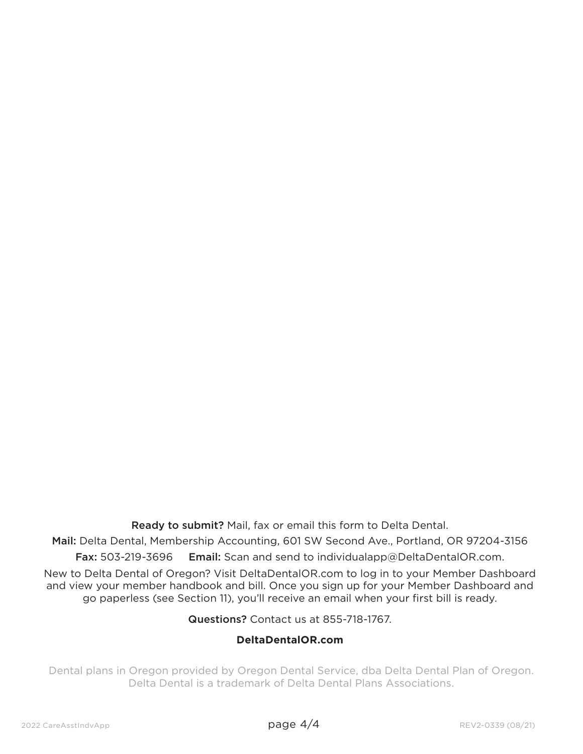Ready to submit? Mail, fax or email this form to Delta Dental.

Mail: Delta Dental, Membership Accounting, 601 SW Second Ave., Portland, OR 97204-3156 Fax: 503-219-3696 Email: Scan and send to individualapp@DeltaDentalOR.com.

New to Delta Dental of Oregon? Visit DeltaDentalOR.com to log in to your Member Dashboard and view your member handbook and bill. Once you sign up for your Member Dashboard and go paperless (see Section 11), you'll receive an email when your first bill is ready.

Questions? Contact us at 855-718-1767.

#### **DeltaDentalOR.com**

Dental plans in Oregon provided by Oregon Dental Service, dba Delta Dental Plan of Oregon. Delta Dental is a trademark of Delta Dental Plans Associations.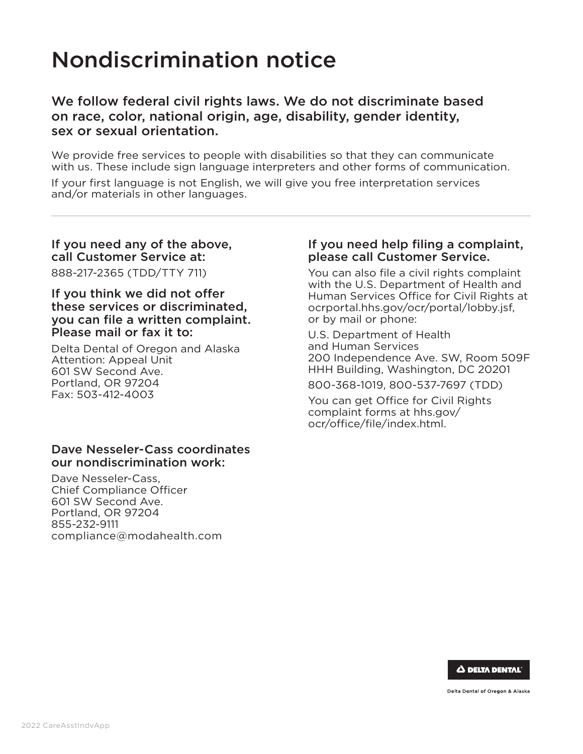# Nondiscrimination notice

## We follow federal civil rights laws. We do not discriminate based on race, color, national origin, age, disability, gender identity, sex or sexual orientation.

We provide free services to people with disabilities so that they can communicate with us. These include sign language interpreters and other forms of communication.

If your first language is not English, we will give you free interpretation services and/or materials in other languages.

## If you need any of the above, call Customer Service at:

888-217-2365 (TDD/TTY 711)

#### If you think we did not offer these services or discriminated, you can file a written complaint. Please mail or fax it to:

Delta Dental of Oregon and Alaska Attention: Appeal Unit 601 SW Second Ave. Portland, OR 97204 Fax: 503-412-4003

#### Dave Nesseler-Cass coordinates our nondiscrimination work:

Dave Nesseler-Cass, Chief Compliance Officer 601 SW Second Ave. Portland, OR 97204 855-232-9111 compliance@modahealth.com

#### If you need help filing a complaint, please call Customer Service.

You can also file a civil rights complaint with the U.S. Department of Health and Human Services Office for Civil Rights at ocrportal.hhs.gov/ocr/portal/lobby.jsf, or by mail or phone:

U.S. Department of Health and Human Services 200 Independence Ave. SW, Room 509F HHH Building, Washington, DC 20201 800-368-1019, 800-537-7697 (TDD)

You can get Office for Civil Rights complaint forms at hhs.gov/ ocr/office/file/index.html.



Delta Dental of Oregon & Alaska